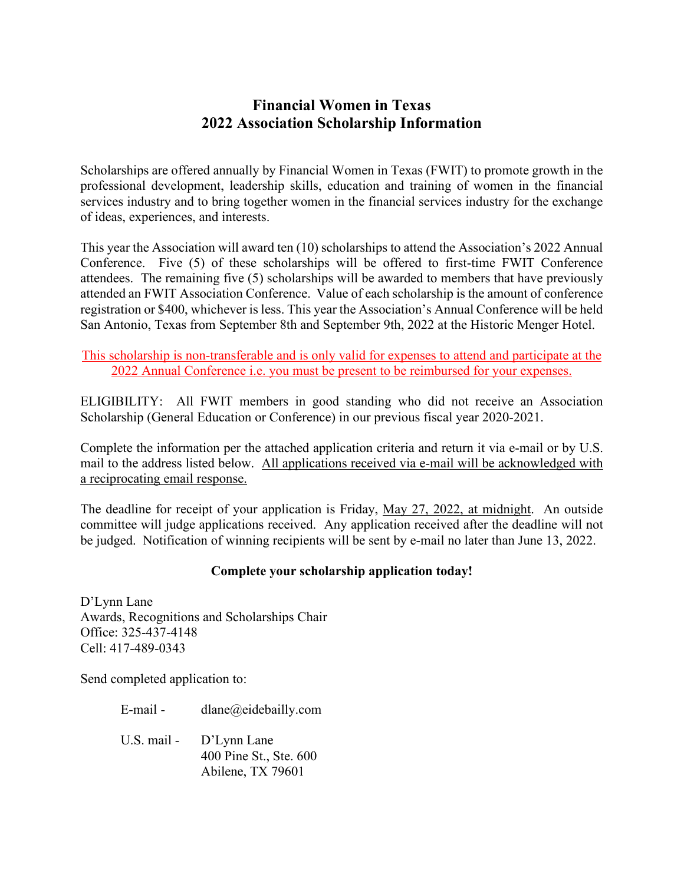## **Financial Women in Texas 2022 Association Scholarship Information**

Scholarships are offered annually by Financial Women in Texas (FWIT) to promote growth in the professional development, leadership skills, education and training of women in the financial services industry and to bring together women in the financial services industry for the exchange of ideas, experiences, and interests.

This year the Association will award ten (10) scholarships to attend the Association's 2022 Annual Conference. Five (5) of these scholarships will be offered to first-time FWIT Conference attendees. The remaining five (5) scholarships will be awarded to members that have previously attended an FWIT Association Conference. Value of each scholarship is the amount of conference registration or \$400, whichever is less. This year the Association's Annual Conference will be held San Antonio, Texas from September 8th and September 9th, 2022 at the Historic Menger Hotel.

This scholarship is non-transferable and is only valid for expenses to attend and participate at the 2022 Annual Conference i.e. you must be present to be reimbursed for your expenses.

ELIGIBILITY: All FWIT members in good standing who did not receive an Association Scholarship (General Education or Conference) in our previous fiscal year 2020-2021.

Complete the information per the attached application criteria and return it via e-mail or by U.S. mail to the address listed below. All applications received via e-mail will be acknowledged with a reciprocating email response.

The deadline for receipt of your application is Friday, May 27, 2022, at midnight. An outside committee will judge applications received. Any application received after the deadline will not be judged. Notification of winning recipients will be sent by e-mail no later than June 13, 2022.

## **Complete your scholarship application today!**

D'Lynn Lane Awards, Recognitions and Scholarships Chair Office: 325-437-4148 Cell: 417-489-0343

Send completed application to:

E-mail - dlane@eidebailly.com U.S. mail - D'Lynn Lane 400 Pine St., Ste. 600 Abilene, TX 79601